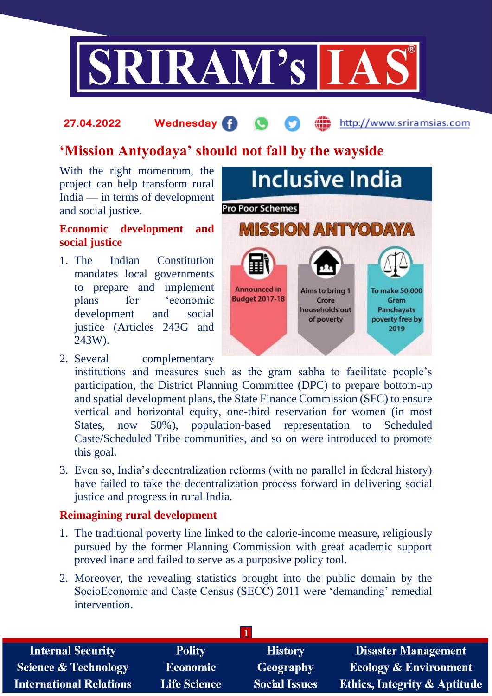

### **27.04.2022 Wednesday** http://www.sriramsias.com

# **'Mission Antyodaya' should not fall by the wayside**

With the right momentum, the project can help transform rural India — in terms of development and social justice.

### **Economic development and social justice**

1. The Indian Constitution mandates local governments to prepare and implement plans for 'economic development and social justice (Articles 243G and 243W).



- 2. Several complementary institutions and measures such as the gram sabha to facilitate people's participation, the District Planning Committee (DPC) to prepare bottom-up and spatial development plans, the State Finance Commission (SFC) to ensure vertical and horizontal equity, one-third reservation for women (in most States, now 50%), population-based representation to Scheduled Caste/Scheduled Tribe communities, and so on were introduced to promote this goal.
- 3. Even so, India's decentralization reforms (with no parallel in federal history) have failed to take the decentralization process forward in delivering social justice and progress in rural India.

# **Reimagining rural development**

- 1. The traditional poverty line linked to the calorie-income measure, religiously pursued by the former Planning Commission with great academic support proved inane and failed to serve as a purposive policy tool.
- 2. Moreover, the revealing statistics brought into the public domain by the SocioEconomic and Caste Census (SECC) 2011 were 'demanding' remedial intervention.

| <b>Polity</b>       | <b>History</b>       | <b>Disaster Management</b>              |  |  |  |
|---------------------|----------------------|-----------------------------------------|--|--|--|
| <b>Economic</b>     | Geography            | <b>Ecology &amp; Environment</b>        |  |  |  |
| <b>Life Science</b> | <b>Social Issues</b> | <b>Ethics, Integrity &amp; Aptitude</b> |  |  |  |
|                     |                      |                                         |  |  |  |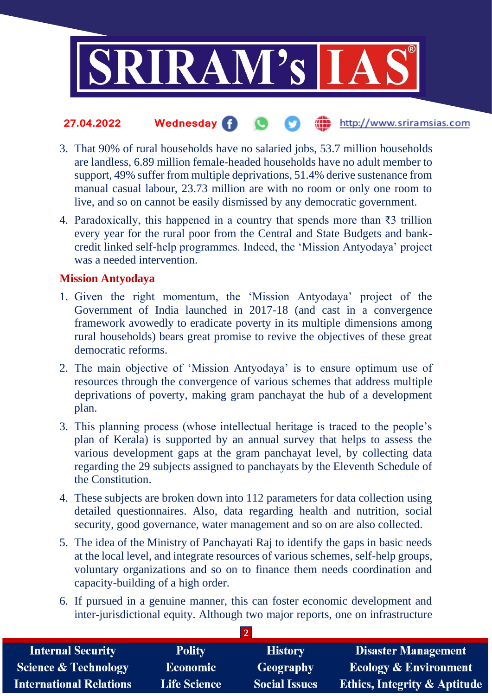

#### **27.04.2022 Wednesday** the http://www.sriramsias.com  $\bullet$

- 3. That 90% of rural households have no salaried jobs, 53.7 million households are landless, 6.89 million female-headed households have no adult member to support, 49% suffer from multiple deprivations, 51.4% derive sustenance from manual casual labour, 23.73 million are with no room or only one room to live, and so on cannot be easily dismissed by any democratic government.
- 4. Paradoxically, this happened in a country that spends more than ₹3 trillion every year for the rural poor from the Central and State Budgets and bankcredit linked self-help programmes. Indeed, the 'Mission Antyodaya' project was a needed intervention.

# **Mission Antyodaya**

- 1. Given the right momentum, the 'Mission Antyodaya' project of the Government of India launched in 2017-18 (and cast in a convergence framework avowedly to eradicate poverty in its multiple dimensions among rural households) bears great promise to revive the objectives of these great democratic reforms.
- 2. The main objective of 'Mission Antyodaya' is to ensure optimum use of resources through the convergence of various schemes that address multiple deprivations of poverty, making gram panchayat the hub of a development plan.
- 3. This planning process (whose intellectual heritage is traced to the people's plan of Kerala) is supported by an annual survey that helps to assess the various development gaps at the gram panchayat level, by collecting data regarding the 29 subjects assigned to panchayats by the Eleventh Schedule of the Constitution.
- 4. These subjects are broken down into 112 parameters for data collection using detailed questionnaires. Also, data regarding health and nutrition, social security, good governance, water management and so on are also collected.
- 5. The idea of the Ministry of Panchayati Raj to identify the gaps in basic needs at the local level, and integrate resources of various schemes, self-help groups, voluntary organizations and so on to finance them needs coordination and capacity-building of a high order.
- 6. If pursued in a genuine manner, this can foster economic development and inter-jurisdictional equity. Although two major reports, one on infrastructure

**2** 

| <b>Internal Security</b>        | <b>Polity</b>       | <b>History</b>       | Disaster Management                     |
|---------------------------------|---------------------|----------------------|-----------------------------------------|
| <b>Science &amp; Technology</b> | <b>Economic</b>     | Geography            | <b>Ecology &amp; Environment</b>        |
| <b>International Relations</b>  | <b>Life Science</b> | <b>Social Issues</b> | <b>Ethics, Integrity &amp; Aptitude</b> |